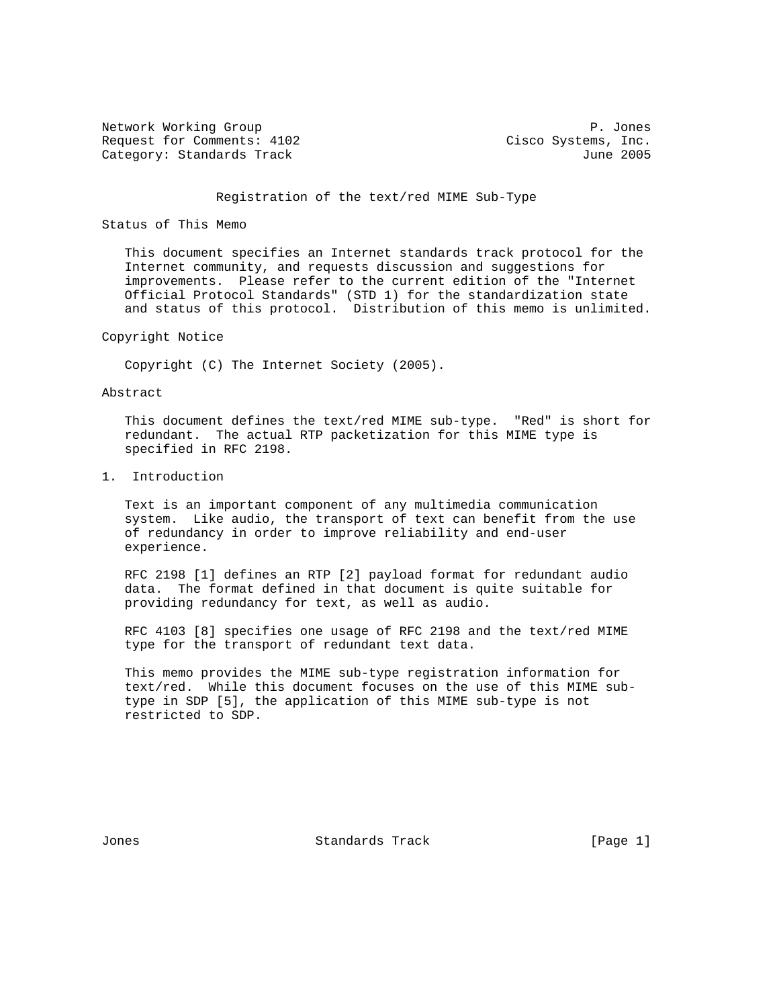Network Working Group **P. Jones** P. Jones Request for Comments:  $4102$  Cisco Systems, Inc. Category: Standards Track June 2005

## Registration of the text/red MIME Sub-Type

#### Status of This Memo

 This document specifies an Internet standards track protocol for the Internet community, and requests discussion and suggestions for improvements. Please refer to the current edition of the "Internet Official Protocol Standards" (STD 1) for the standardization state and status of this protocol. Distribution of this memo is unlimited.

## Copyright Notice

Copyright (C) The Internet Society (2005).

# Abstract

 This document defines the text/red MIME sub-type. "Red" is short for redundant. The actual RTP packetization for this MIME type is specified in RFC 2198.

1. Introduction

 Text is an important component of any multimedia communication system. Like audio, the transport of text can benefit from the use of redundancy in order to improve reliability and end-user experience.

 RFC 2198 [1] defines an RTP [2] payload format for redundant audio data. The format defined in that document is quite suitable for providing redundancy for text, as well as audio.

 RFC 4103 [8] specifies one usage of RFC 2198 and the text/red MIME type for the transport of redundant text data.

 This memo provides the MIME sub-type registration information for text/red. While this document focuses on the use of this MIME sub type in SDP [5], the application of this MIME sub-type is not restricted to SDP.

Jones Standards Track [Page 1]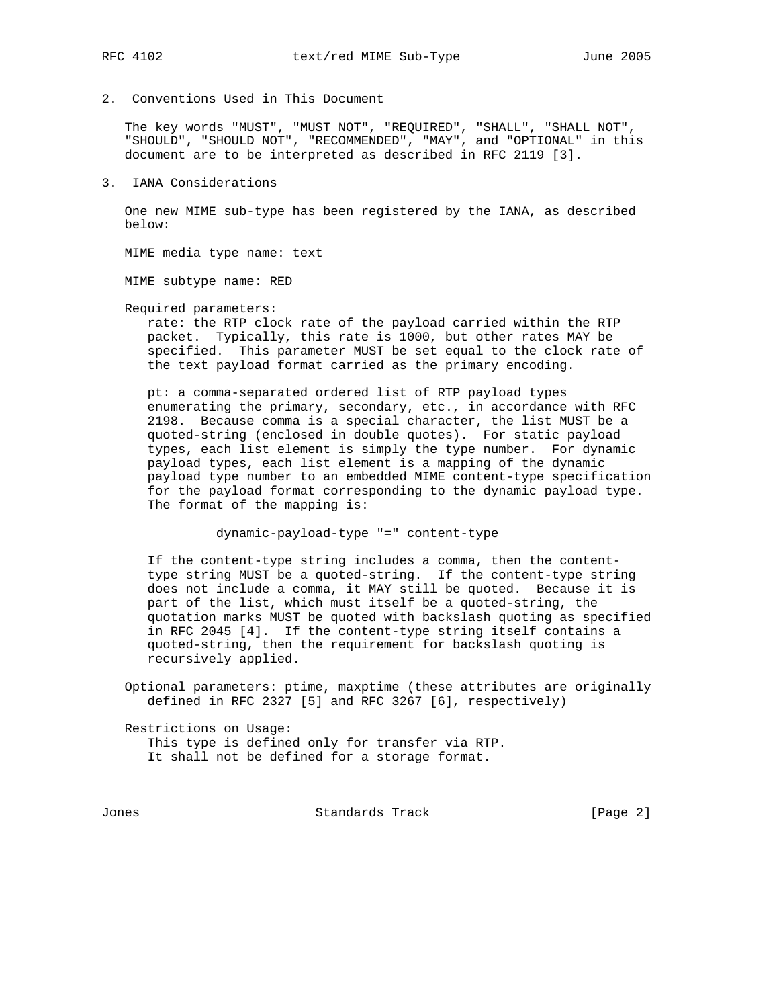- 
- 2. Conventions Used in This Document

 The key words "MUST", "MUST NOT", "REQUIRED", "SHALL", "SHALL NOT", "SHOULD", "SHOULD NOT", "RECOMMENDED", "MAY", and "OPTIONAL" in this document are to be interpreted as described in RFC 2119 [3].

3. IANA Considerations

 One new MIME sub-type has been registered by the IANA, as described below:

MIME media type name: text

MIME subtype name: RED

Required parameters:

 rate: the RTP clock rate of the payload carried within the RTP packet. Typically, this rate is 1000, but other rates MAY be specified. This parameter MUST be set equal to the clock rate of the text payload format carried as the primary encoding.

 pt: a comma-separated ordered list of RTP payload types enumerating the primary, secondary, etc., in accordance with RFC 2198. Because comma is a special character, the list MUST be a quoted-string (enclosed in double quotes). For static payload types, each list element is simply the type number. For dynamic payload types, each list element is a mapping of the dynamic payload type number to an embedded MIME content-type specification for the payload format corresponding to the dynamic payload type. The format of the mapping is:

#### dynamic-payload-type "=" content-type

 If the content-type string includes a comma, then the content type string MUST be a quoted-string. If the content-type string does not include a comma, it MAY still be quoted. Because it is part of the list, which must itself be a quoted-string, the quotation marks MUST be quoted with backslash quoting as specified in RFC 2045 [4]. If the content-type string itself contains a quoted-string, then the requirement for backslash quoting is recursively applied.

 Optional parameters: ptime, maxptime (these attributes are originally defined in RFC 2327 [5] and RFC 3267 [6], respectively)

 Restrictions on Usage: This type is defined only for transfer via RTP. It shall not be defined for a storage format.

Jones Standards Track [Page 2]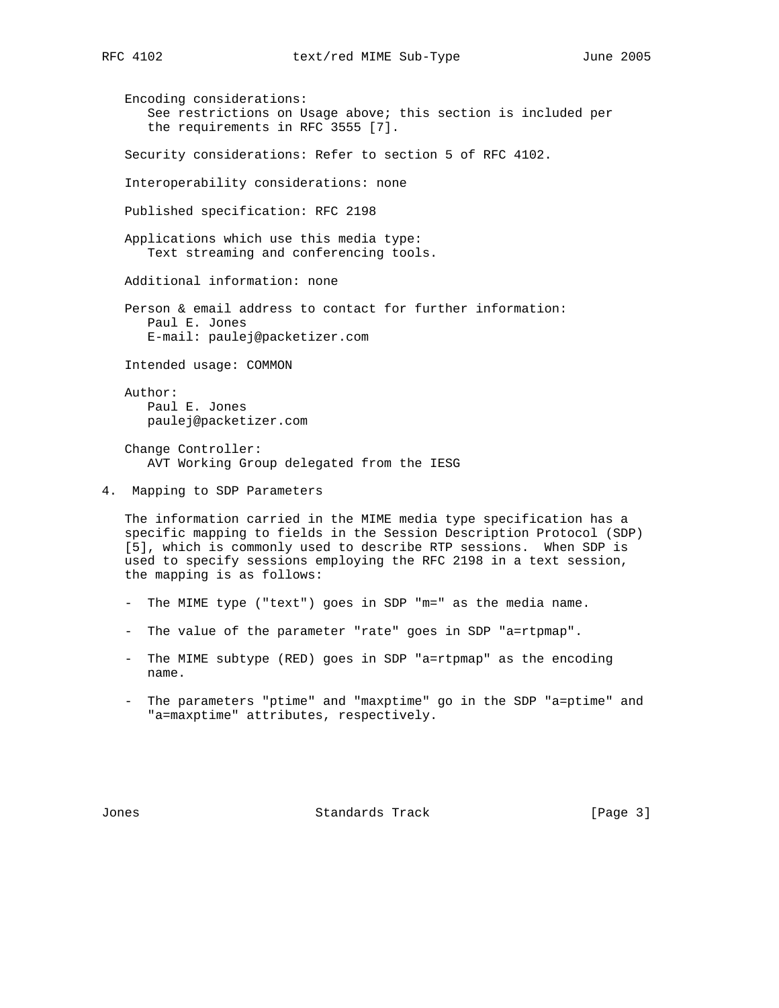Encoding considerations: See restrictions on Usage above; this section is included per the requirements in RFC 3555 [7]. Security considerations: Refer to section 5 of RFC 4102. Interoperability considerations: none Published specification: RFC 2198 Applications which use this media type: Text streaming and conferencing tools. Additional information: none Person & email address to contact for further information: Paul E. Jones E-mail: paulej@packetizer.com Intended usage: COMMON Author: Paul E. Jones paulej@packetizer.com Change Controller: AVT Working Group delegated from the IESG 4. Mapping to SDP Parameters The information carried in the MIME media type specification has a

 specific mapping to fields in the Session Description Protocol (SDP) [5], which is commonly used to describe RTP sessions. When SDP is used to specify sessions employing the RFC 2198 in a text session, the mapping is as follows:

- The MIME type ("text") goes in SDP "m=" as the media name.
- The value of the parameter "rate" goes in SDP "a=rtpmap".
- The MIME subtype (RED) goes in SDP "a=rtpmap" as the encoding name.
- The parameters "ptime" and "maxptime" go in the SDP "a=ptime" and "a=maxptime" attributes, respectively.

Jones 6 (Page 3) Standards Track (Page 3)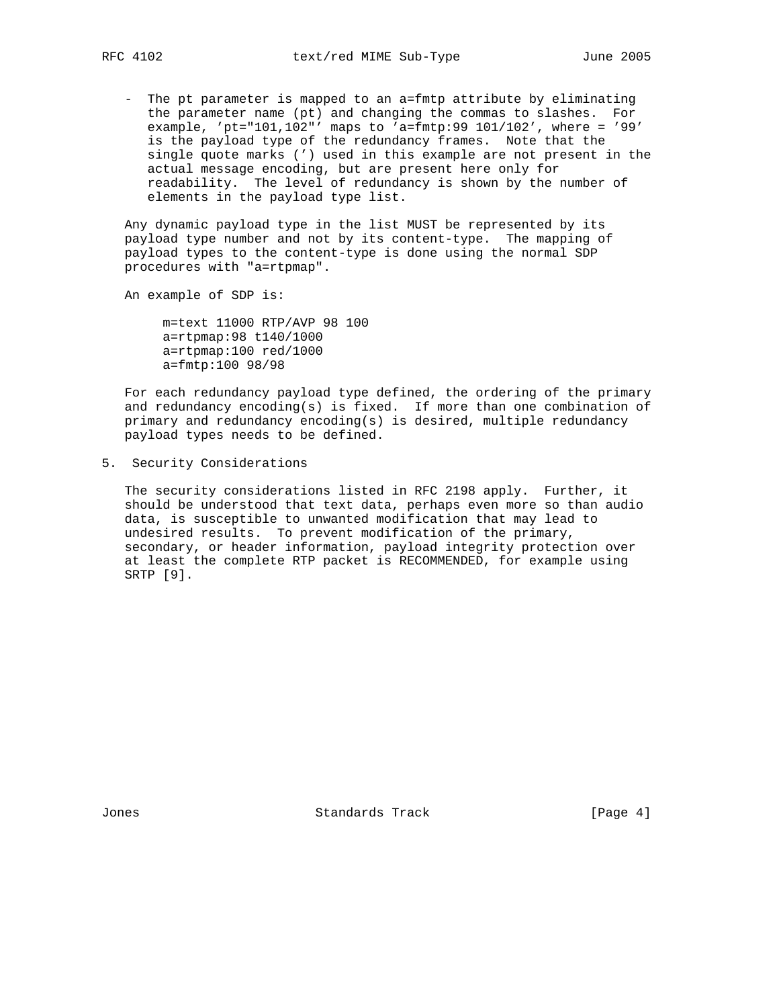- The pt parameter is mapped to an a=fmtp attribute by eliminating the parameter name (pt) and changing the commas to slashes. For example, 'pt="101,102"' maps to 'a=fmtp:99 101/102', where = '99' is the payload type of the redundancy frames. Note that the single quote marks (') used in this example are not present in the actual message encoding, but are present here only for readability. The level of redundancy is shown by the number of elements in the payload type list.

 Any dynamic payload type in the list MUST be represented by its payload type number and not by its content-type. The mapping of payload types to the content-type is done using the normal SDP procedures with "a=rtpmap".

An example of SDP is:

 m=text 11000 RTP/AVP 98 100 a=rtpmap:98 t140/1000 a=rtpmap:100 red/1000 a=fmtp:100 98/98

 For each redundancy payload type defined, the ordering of the primary and redundancy encoding(s) is fixed. If more than one combination of primary and redundancy encoding(s) is desired, multiple redundancy payload types needs to be defined.

5. Security Considerations

 The security considerations listed in RFC 2198 apply. Further, it should be understood that text data, perhaps even more so than audio data, is susceptible to unwanted modification that may lead to undesired results. To prevent modification of the primary, secondary, or header information, payload integrity protection over at least the complete RTP packet is RECOMMENDED, for example using SRTP [9].

Jones 6 (Page 4) Standards Track (Page 4)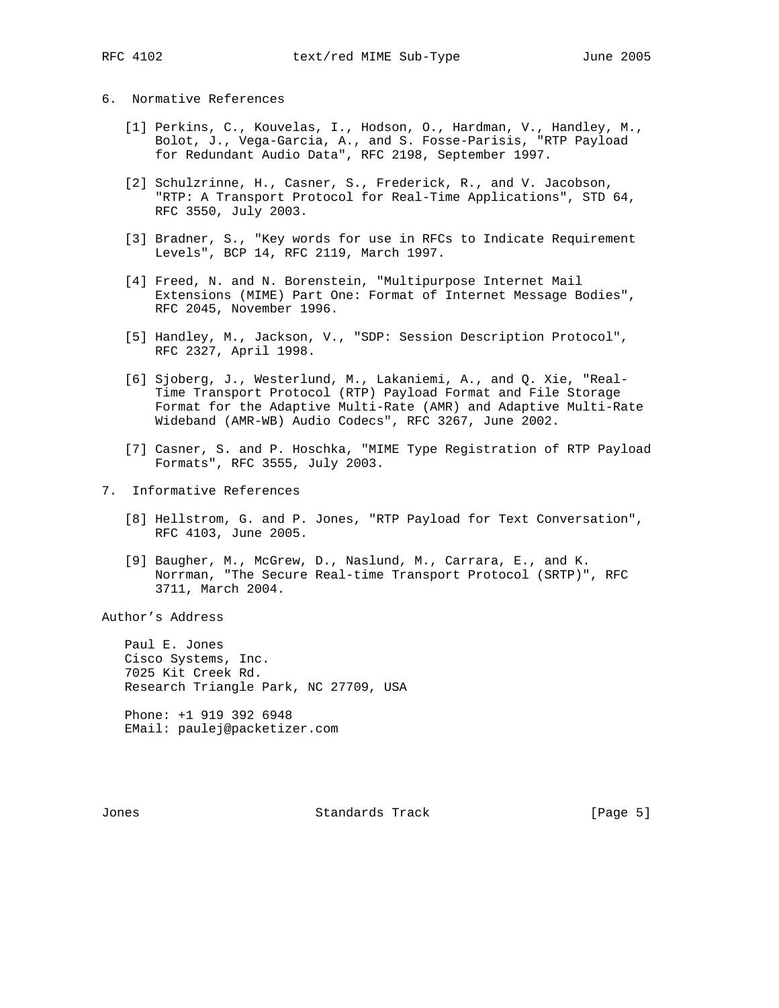# 6. Normative References

- [1] Perkins, C., Kouvelas, I., Hodson, O., Hardman, V., Handley, M., Bolot, J., Vega-Garcia, A., and S. Fosse-Parisis, "RTP Payload for Redundant Audio Data", RFC 2198, September 1997.
- [2] Schulzrinne, H., Casner, S., Frederick, R., and V. Jacobson, "RTP: A Transport Protocol for Real-Time Applications", STD 64, RFC 3550, July 2003.
- [3] Bradner, S., "Key words for use in RFCs to Indicate Requirement Levels", BCP 14, RFC 2119, March 1997.
- [4] Freed, N. and N. Borenstein, "Multipurpose Internet Mail Extensions (MIME) Part One: Format of Internet Message Bodies", RFC 2045, November 1996.
- [5] Handley, M., Jackson, V., "SDP: Session Description Protocol", RFC 2327, April 1998.
- [6] Sjoberg, J., Westerlund, M., Lakaniemi, A., and Q. Xie, "Real- Time Transport Protocol (RTP) Payload Format and File Storage Format for the Adaptive Multi-Rate (AMR) and Adaptive Multi-Rate Wideband (AMR-WB) Audio Codecs", RFC 3267, June 2002.
- [7] Casner, S. and P. Hoschka, "MIME Type Registration of RTP Payload Formats", RFC 3555, July 2003.
- 7. Informative References
	- [8] Hellstrom, G. and P. Jones, "RTP Payload for Text Conversation", RFC 4103, June 2005.
	- [9] Baugher, M., McGrew, D., Naslund, M., Carrara, E., and K. Norrman, "The Secure Real-time Transport Protocol (SRTP)", RFC 3711, March 2004.

Author's Address

 Paul E. Jones Cisco Systems, Inc. 7025 Kit Creek Rd. Research Triangle Park, NC 27709, USA

 Phone: +1 919 392 6948 EMail: paulej@packetizer.com

Jones 6 (Page 5) Standards Track (Page 5)